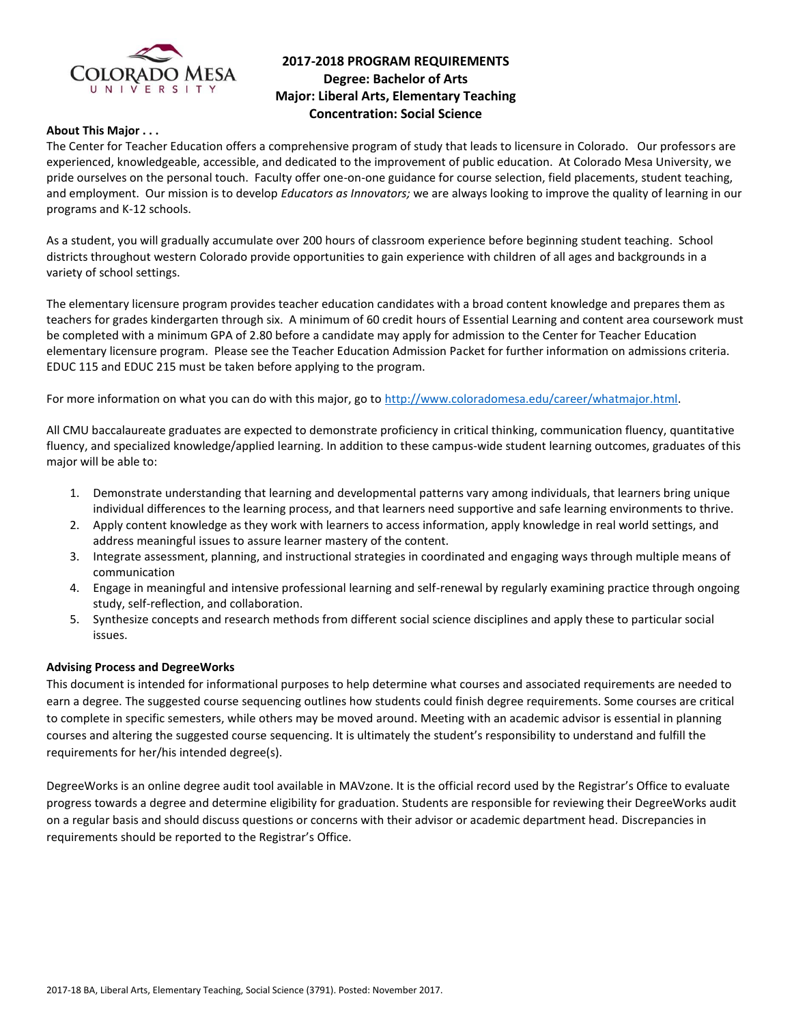

# **2017-2018 PROGRAM REQUIREMENTS Degree: Bachelor of Arts Major: Liberal Arts, Elementary Teaching Concentration: Social Science**

### **About This Major . . .**

The Center for Teacher Education offers a comprehensive program of study that leads to licensure in Colorado. Our professors are experienced, knowledgeable, accessible, and dedicated to the improvement of public education. At Colorado Mesa University, we pride ourselves on the personal touch. Faculty offer one-on-one guidance for course selection, field placements, student teaching, and employment. Our mission is to develop *Educators as Innovators;* we are always looking to improve the quality of learning in our programs and K-12 schools.

As a student, you will gradually accumulate over 200 hours of classroom experience before beginning student teaching. School districts throughout western Colorado provide opportunities to gain experience with children of all ages and backgrounds in a variety of school settings.

The elementary licensure program provides teacher education candidates with a broad content knowledge and prepares them as teachers for grades kindergarten through six. A minimum of 60 credit hours of Essential Learning and content area coursework must be completed with a minimum GPA of 2.80 before a candidate may apply for admission to the Center for Teacher Education elementary licensure program. Please see the Teacher Education Admission Packet for further information on admissions criteria. EDUC 115 and EDUC 215 must be taken before applying to the program.

For more information on what you can do with this major, go to [http://www.coloradomesa.edu/career/whatmajor.html.](http://www.coloradomesa.edu/career/whatmajor.html)

All CMU baccalaureate graduates are expected to demonstrate proficiency in critical thinking, communication fluency, quantitative fluency, and specialized knowledge/applied learning. In addition to these campus-wide student learning outcomes, graduates of this major will be able to:

- 1. Demonstrate understanding that learning and developmental patterns vary among individuals, that learners bring unique individual differences to the learning process, and that learners need supportive and safe learning environments to thrive.
- 2. Apply content knowledge as they work with learners to access information, apply knowledge in real world settings, and address meaningful issues to assure learner mastery of the content.
- 3. Integrate assessment, planning, and instructional strategies in coordinated and engaging ways through multiple means of communication
- 4. Engage in meaningful and intensive professional learning and self-renewal by regularly examining practice through ongoing study, self-reflection, and collaboration.
- 5. Synthesize concepts and research methods from different social science disciplines and apply these to particular social issues.

#### **Advising Process and DegreeWorks**

This document is intended for informational purposes to help determine what courses and associated requirements are needed to earn a degree. The suggested course sequencing outlines how students could finish degree requirements. Some courses are critical to complete in specific semesters, while others may be moved around. Meeting with an academic advisor is essential in planning courses and altering the suggested course sequencing. It is ultimately the student's responsibility to understand and fulfill the requirements for her/his intended degree(s).

DegreeWorks is an online degree audit tool available in MAVzone. It is the official record used by the Registrar's Office to evaluate progress towards a degree and determine eligibility for graduation. Students are responsible for reviewing their DegreeWorks audit on a regular basis and should discuss questions or concerns with their advisor or academic department head. Discrepancies in requirements should be reported to the Registrar's Office.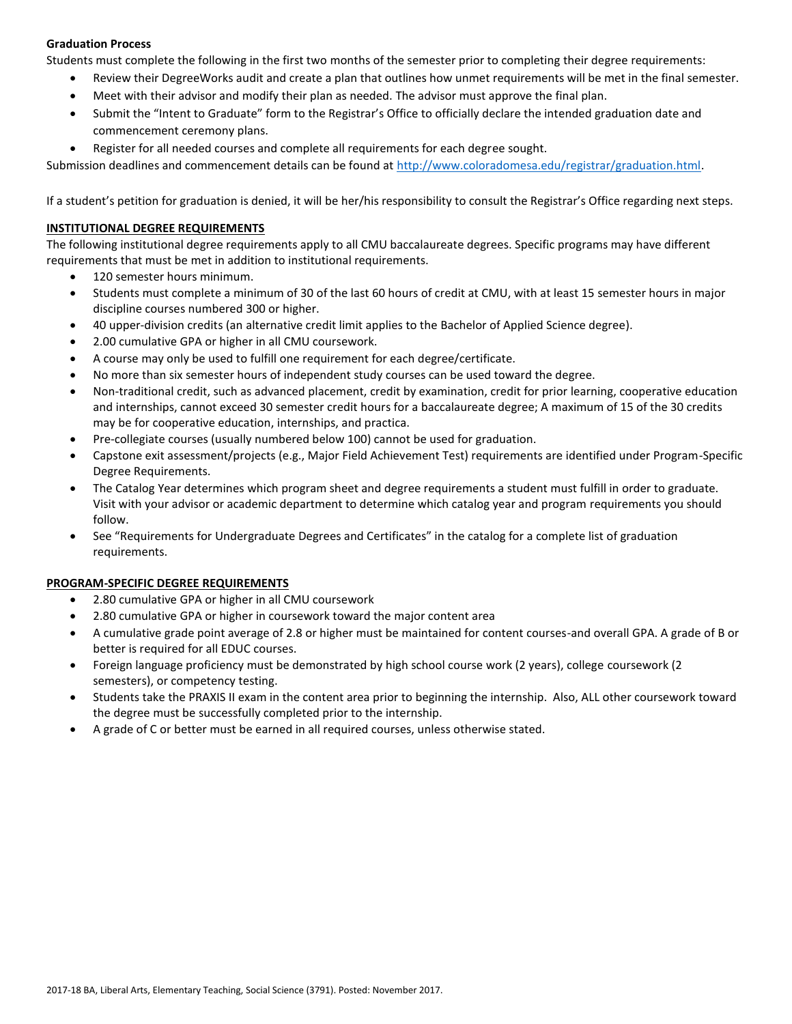# **Graduation Process**

Students must complete the following in the first two months of the semester prior to completing their degree requirements:

- Review their DegreeWorks audit and create a plan that outlines how unmet requirements will be met in the final semester.
- Meet with their advisor and modify their plan as needed. The advisor must approve the final plan.
- Submit the "Intent to Graduate" form to the Registrar's Office to officially declare the intended graduation date and commencement ceremony plans.
- Register for all needed courses and complete all requirements for each degree sought.

Submission deadlines and commencement details can be found at [http://www.coloradomesa.edu/registrar/graduation.html.](http://www.coloradomesa.edu/registrar/graduation.html)

If a student's petition for graduation is denied, it will be her/his responsibility to consult the Registrar's Office regarding next steps.

### **INSTITUTIONAL DEGREE REQUIREMENTS**

The following institutional degree requirements apply to all CMU baccalaureate degrees. Specific programs may have different requirements that must be met in addition to institutional requirements.

- 120 semester hours minimum.
- Students must complete a minimum of 30 of the last 60 hours of credit at CMU, with at least 15 semester hours in major discipline courses numbered 300 or higher.
- 40 upper-division credits (an alternative credit limit applies to the Bachelor of Applied Science degree).
- 2.00 cumulative GPA or higher in all CMU coursework.
- A course may only be used to fulfill one requirement for each degree/certificate.
- No more than six semester hours of independent study courses can be used toward the degree.
- Non-traditional credit, such as advanced placement, credit by examination, credit for prior learning, cooperative education and internships, cannot exceed 30 semester credit hours for a baccalaureate degree; A maximum of 15 of the 30 credits may be for cooperative education, internships, and practica.
- Pre-collegiate courses (usually numbered below 100) cannot be used for graduation.
- Capstone exit assessment/projects (e.g., Major Field Achievement Test) requirements are identified under Program-Specific Degree Requirements.
- The Catalog Year determines which program sheet and degree requirements a student must fulfill in order to graduate. Visit with your advisor or academic department to determine which catalog year and program requirements you should follow.
- See "Requirements for Undergraduate Degrees and Certificates" in the catalog for a complete list of graduation requirements.

#### **PROGRAM-SPECIFIC DEGREE REQUIREMENTS**

- 2.80 cumulative GPA or higher in all CMU coursework
- 2.80 cumulative GPA or higher in coursework toward the major content area
- A cumulative grade point average of 2.8 or higher must be maintained for content courses-and overall GPA. A grade of B or better is required for all EDUC courses.
- Foreign language proficiency must be demonstrated by high school course work (2 years), college coursework (2 semesters), or competency testing.
- Students take the PRAXIS II exam in the content area prior to beginning the internship. Also, ALL other coursework toward the degree must be successfully completed prior to the internship.
- A grade of C or better must be earned in all required courses, unless otherwise stated.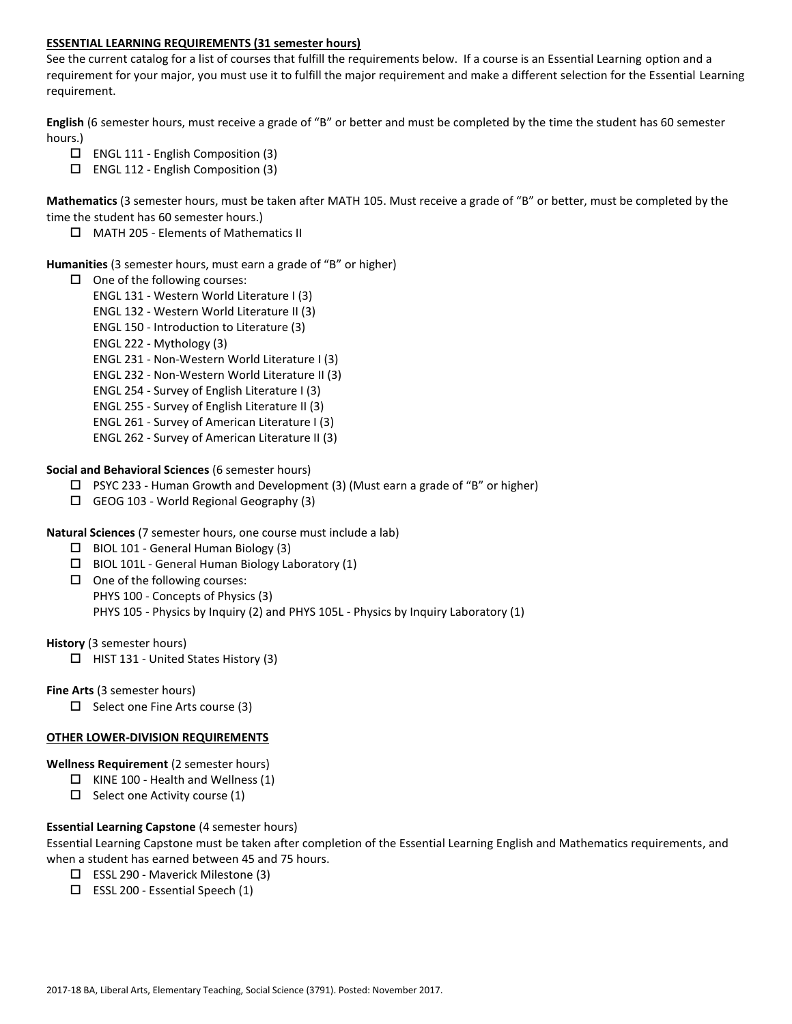### **ESSENTIAL LEARNING REQUIREMENTS (31 semester hours)**

See the current catalog for a list of courses that fulfill the requirements below. If a course is an Essential Learning option and a requirement for your major, you must use it to fulfill the major requirement and make a different selection for the Essential Learning requirement.

**English** (6 semester hours, must receive a grade of "B" or better and must be completed by the time the student has 60 semester hours.)

- $\Box$  ENGL 111 English Composition (3)
- ENGL 112 English Composition (3)

**Mathematics** (3 semester hours, must be taken after MATH 105. Must receive a grade of "B" or better, must be completed by the time the student has 60 semester hours.)

MATH 205 - Elements of Mathematics II

#### **Humanities** (3 semester hours, must earn a grade of "B" or higher)

- $\Box$  One of the following courses:
	- ENGL 131 Western World Literature I (3)
	- ENGL 132 Western World Literature II (3)
	- ENGL 150 Introduction to Literature (3)
	- ENGL 222 Mythology (3)
	- ENGL 231 Non-Western World Literature I (3)
	- ENGL 232 Non-Western World Literature II (3)
	- ENGL 254 Survey of English Literature I (3)
	- ENGL 255 Survey of English Literature II (3)
	- ENGL 261 Survey of American Literature I (3)
	- ENGL 262 Survey of American Literature II (3)

**Social and Behavioral Sciences** (6 semester hours)

- $\Box$  PSYC 233 Human Growth and Development (3) (Must earn a grade of "B" or higher)
- $\Box$  GEOG 103 World Regional Geography (3)
- **Natural Sciences** (7 semester hours, one course must include a lab)
	- $\Box$  BIOL 101 General Human Biology (3)
	- BIOL 101L General Human Biology Laboratory (1)
	- $\Box$  One of the following courses: PHYS 100 - Concepts of Physics (3) PHYS 105 - Physics by Inquiry (2) and PHYS 105L - Physics by Inquiry Laboratory (1)

**History** (3 semester hours)

 $\Box$  HIST 131 - United States History (3)

**Fine Arts** (3 semester hours)

 $\Box$  Select one Fine Arts course (3)

#### **OTHER LOWER-DIVISION REQUIREMENTS**

**Wellness Requirement** (2 semester hours)

- $\Box$  KINE 100 Health and Wellness (1)
- $\Box$  Select one Activity course (1)

# **Essential Learning Capstone** (4 semester hours)

Essential Learning Capstone must be taken after completion of the Essential Learning English and Mathematics requirements, and when a student has earned between 45 and 75 hours.

- ESSL 290 Maverick Milestone (3)
- $\square$  ESSL 200 Essential Speech (1)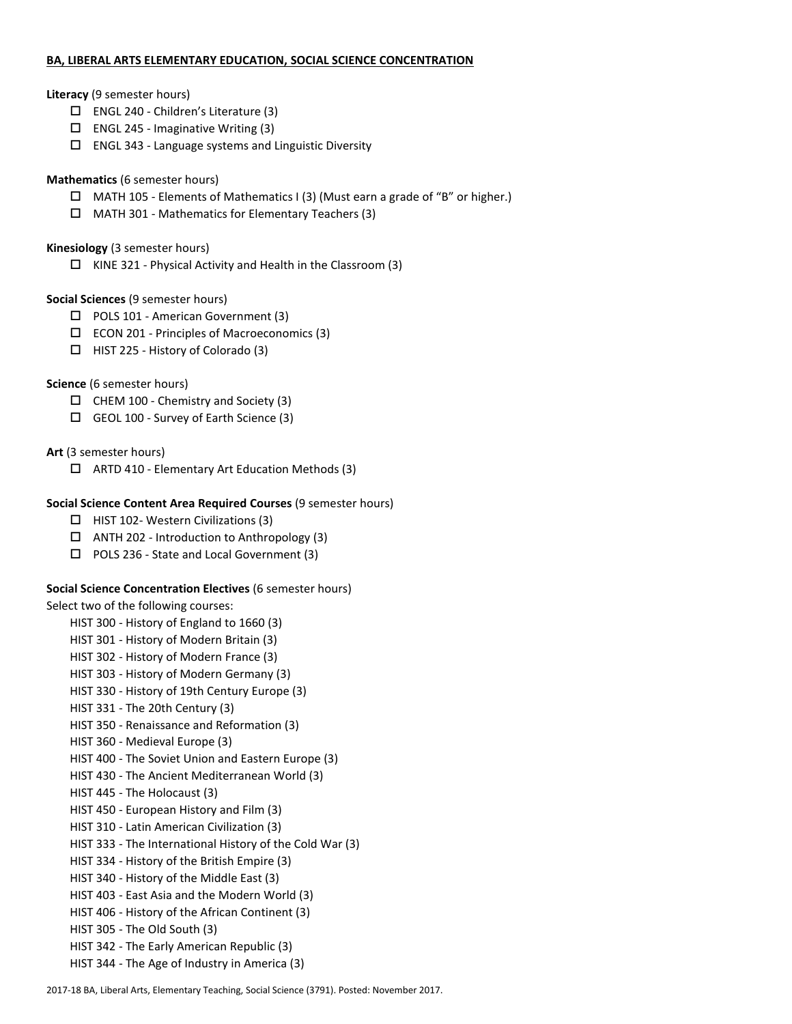### **BA, LIBERAL ARTS ELEMENTARY EDUCATION, SOCIAL SCIENCE CONCENTRATION**

### **Literacy** (9 semester hours)

- ENGL 240 Children's Literature (3)
- $\square$  ENGL 245 Imaginative Writing (3)
- $\square$  ENGL 343 Language systems and Linguistic Diversity

# **Mathematics** (6 semester hours)

- $\Box$  MATH 105 Elements of Mathematics I (3) (Must earn a grade of "B" or higher.)
- MATH 301 Mathematics for Elementary Teachers (3)

### **Kinesiology** (3 semester hours)

 $\Box$  KINE 321 - Physical Activity and Health in the Classroom (3)

# **Social Sciences** (9 semester hours)

- □ POLS 101 American Government (3)
- ECON 201 Principles of Macroeconomics (3)
- $\Box$  HIST 225 History of Colorado (3)

# **Science** (6 semester hours)

- $\Box$  CHEM 100 Chemistry and Society (3)
- GEOL 100 Survey of Earth Science (3)

# **Art** (3 semester hours)

 $\Box$  ARTD 410 - Elementary Art Education Methods (3)

# **Social Science Content Area Required Courses** (9 semester hours)

- $\Box$  HIST 102- Western Civilizations (3)
- $\Box$  ANTH 202 Introduction to Anthropology (3)
- □ POLS 236 State and Local Government (3)

# **Social Science Concentration Electives** (6 semester hours)

Select two of the following courses:

HIST 300 - History of England to 1660 (3)

- HIST 301 History of Modern Britain (3)
- HIST 302 History of Modern France (3)
- HIST 303 History of Modern Germany (3)
- HIST 330 History of 19th Century Europe (3)
- HIST 331 The 20th Century (3)
- HIST 350 Renaissance and Reformation (3)
- HIST 360 Medieval Europe (3)
- HIST 400 The Soviet Union and Eastern Europe (3)
- HIST 430 The Ancient Mediterranean World (3)
- HIST 445 The Holocaust (3)
- HIST 450 European History and Film (3)
- HIST 310 Latin American Civilization (3)
- HIST 333 The International History of the Cold War (3)
- HIST 334 History of the British Empire (3)
- HIST 340 History of the Middle East (3)
- HIST 403 East Asia and the Modern World (3)
- HIST 406 History of the African Continent (3)
- HIST 305 The Old South (3)
- HIST 342 The Early American Republic (3)
- HIST 344 The Age of Industry in America (3)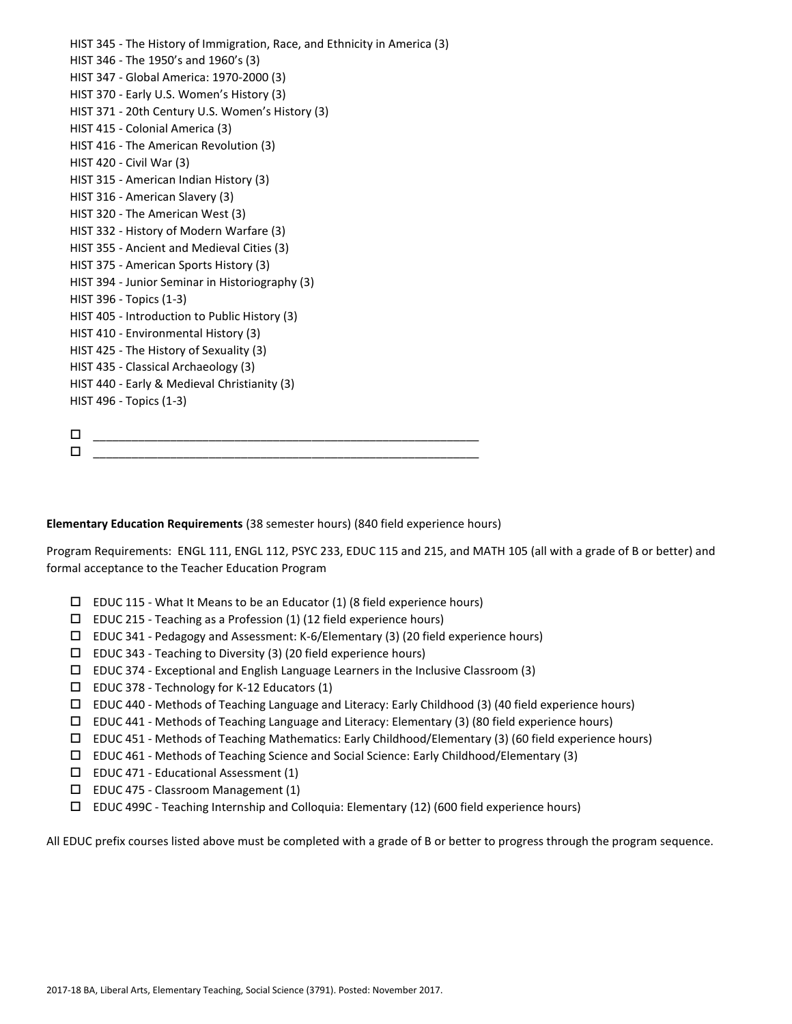HIST 345 - The History of Immigration, Race, and Ethnicity in America (3) HIST 346 - The 1950's and 1960's (3) HIST 347 - Global America: 1970-2000 (3) HIST 370 - Early U.S. Women's History (3) HIST 371 - 20th Century U.S. Women's History (3) HIST 415 - Colonial America (3) HIST 416 - The American Revolution (3) HIST 420 - Civil War (3) HIST 315 - American Indian History (3) HIST 316 - American Slavery (3) HIST 320 - The American West (3) HIST 332 - History of Modern Warfare (3) HIST 355 - Ancient and Medieval Cities (3) HIST 375 - American Sports History (3) HIST 394 - Junior Seminar in Historiography (3) HIST 396 - Topics (1-3) HIST 405 - Introduction to Public History (3) HIST 410 - Environmental History (3) HIST 425 - The History of Sexuality (3) HIST 435 - Classical Archaeology (3) HIST 440 - Early & Medieval Christianity (3) HIST 496 - Topics (1-3) \_\_\_\_\_\_\_\_\_\_\_\_\_\_\_\_\_\_\_\_\_\_\_\_\_\_\_\_\_\_\_\_\_\_\_\_\_\_\_\_\_\_\_\_\_\_\_\_\_\_\_\_\_\_\_\_\_\_\_\_  $\Box$  , and the set of the set of the set of the set of the set of the set of the set of the set of the set of the set of the set of the set of the set of the set of the set of the set of the set of the set of the set of t

**Elementary Education Requirements** (38 semester hours) (840 field experience hours)

Program Requirements: ENGL 111, ENGL 112, PSYC 233, EDUC 115 and 215, and MATH 105 (all with a grade of B or better) and formal acceptance to the Teacher Education Program

- $\square$  EDUC 115 What It Means to be an Educator (1) (8 field experience hours)
- $\square$  EDUC 215 Teaching as a Profession (1) (12 field experience hours)
- EDUC 341 Pedagogy and Assessment: K-6/Elementary (3) (20 field experience hours)
- $\square$  EDUC 343 Teaching to Diversity (3) (20 field experience hours)
- $\Box$  EDUC 374 Exceptional and English Language Learners in the Inclusive Classroom (3)
- $\square$  EDUC 378 Technology for K-12 Educators (1)
- $\Box$  EDUC 440 Methods of Teaching Language and Literacy: Early Childhood (3) (40 field experience hours)
- $\Box$  EDUC 441 Methods of Teaching Language and Literacy: Elementary (3) (80 field experience hours)
- $\Box$  EDUC 451 Methods of Teaching Mathematics: Early Childhood/Elementary (3) (60 field experience hours)
- EDUC 461 Methods of Teaching Science and Social Science: Early Childhood/Elementary (3)
- $\square$  EDUC 471 Educational Assessment (1)
- EDUC 475 Classroom Management (1)
- EDUC 499C Teaching Internship and Colloquia: Elementary (12) (600 field experience hours)

All EDUC prefix courses listed above must be completed with a grade of B or better to progress through the program sequence.